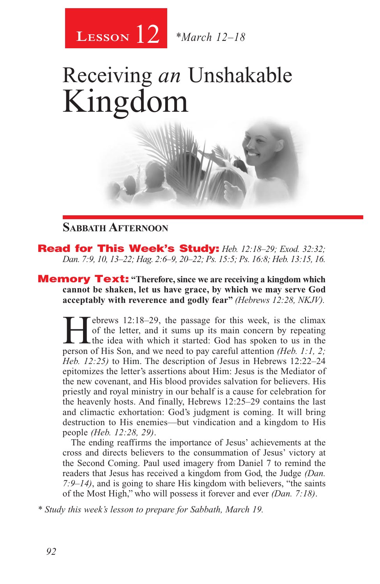

# Receiving *an* Unshakable Kingdom



#### **Sabbath Afternoon**

Read for This Week's Study: *Heb. 12:18–29; Exod. 32:32; Dan. 7:9, 10, 13–22; Hag. 2:6–9, 20–22; Ps. 15:5; Ps. 16:8; Heb. 13:15, 16.*

Memory Text: **"Therefore, since we are receiving a kingdom which cannot be shaken, let us have grace, by which we may serve God acceptably with reverence and godly fear"** *(Hebrews 12:28, NKJV).*

**Hebrews 12:18–29, the passage for this week, is the climax** of the letter, and it sums up its main concern by repeating the idea with which it started: God has spoken to us in the parson of His Son and we need to pay car of the letter, and it sums up its main concern by repeating person of His Son, and we need to pay careful attention *(Heb. 1:1, 2; Heb. 12:25)* to Him. The description of Jesus in Hebrews 12:22–24 epitomizes the letter's assertions about Him: Jesus is the Mediator of the new covenant, and His blood provides salvation for believers. His priestly and royal ministry in our behalf is a cause for celebration for the heavenly hosts. And finally, Hebrews 12:25–29 contains the last and climactic exhortation: God's judgment is coming. It will bring destruction to His enemies—but vindication and a kingdom to His people *(Heb. 12:28, 29)*.

The ending reaffirms the importance of Jesus' achievements at the cross and directs believers to the consummation of Jesus' victory at the Second Coming. Paul used imagery from Daniel 7 to remind the readers that Jesus has received a kingdom from God, the Judge *(Dan. 7:9–14)*, and is going to share His kingdom with believers, "the saints of the Most High," who will possess it forever and ever *(Dan. 7:18)*.

*\* Study this week's lesson to prepare for Sabbath, March 19.*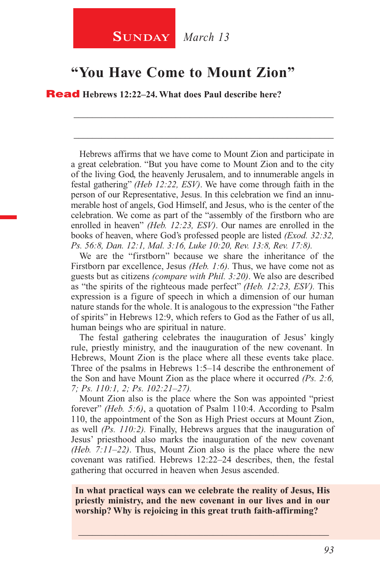#### **"You Have Come to Mount Zion"**

Read **Hebrews 12:22–24. What does Paul describe here?**

Hebrews affirms that we have come to Mount Zion and participate in a great celebration. "But you have come to Mount Zion and to the city of the living God, the heavenly Jerusalem, and to innumerable angels in festal gathering" *(Heb 12:22, ESV)*. We have come through faith in the person of our Representative, Jesus. In this celebration we find an innumerable host of angels, God Himself, and Jesus, who is the center of the celebration. We come as part of the "assembly of the firstborn who are enrolled in heaven" *(Heb. 12:23, ESV)*. Our names are enrolled in the books of heaven, where God's professed people are listed *(Exod. 32:32, Ps. 56:8, Dan. 12:1, Mal. 3:16, Luke 10:20, Rev. 13:8, Rev. 17:8).*

\_\_\_\_\_\_\_\_\_\_\_\_\_\_\_\_\_\_\_\_\_\_\_\_\_\_\_\_\_\_\_\_\_\_\_\_\_\_\_\_\_\_\_\_\_\_\_\_\_\_\_\_\_\_\_\_

\_\_\_\_\_\_\_\_\_\_\_\_\_\_\_\_\_\_\_\_\_\_\_\_\_\_\_\_\_\_\_\_\_\_\_\_\_\_\_\_\_\_\_\_\_\_\_\_\_\_\_\_\_\_\_\_

We are the "firstborn" because we share the inheritance of the Firstborn par excellence, Jesus *(Heb. 1:6).* Thus, we have come not as guests but as citizens *(compare with Phil. 3:20)*. We also are described as "the spirits of the righteous made perfect" *(Heb. 12:23, ESV).* This expression is a figure of speech in which a dimension of our human nature stands for the whole. It is analogous to the expression "the Father of spirits" in Hebrews 12:9, which refers to God as the Father of us all, human beings who are spiritual in nature.

The festal gathering celebrates the inauguration of Jesus' kingly rule, priestly ministry, and the inauguration of the new covenant. In Hebrews, Mount Zion is the place where all these events take place. Three of the psalms in Hebrews 1:5–14 describe the enthronement of the Son and have Mount Zion as the place where it occurred *(Ps. 2:6, 7; Ps. 110:1, 2; Ps. 102:21–27).*

Mount Zion also is the place where the Son was appointed "priest forever" *(Heb. 5:6)*, a quotation of Psalm 110:4. According to Psalm 110, the appointment of the Son as High Priest occurs at Mount Zion, as well *(Ps. 110:2).* Finally, Hebrews argues that the inauguration of Jesus' priesthood also marks the inauguration of the new covenant *(Heb. 7:11–22)*. Thus, Mount Zion also is the place where the new covenant was ratified. Hebrews 12:22–24 describes, then, the festal gathering that occurred in heaven when Jesus ascended.

**In what practical ways can we celebrate the reality of Jesus, His priestly ministry, and the new covenant in our lives and in our worship? Why is rejoicing in this great truth faith-affirming?**

\_\_\_\_\_\_\_\_\_\_\_\_\_\_\_\_\_\_\_\_\_\_\_\_\_\_\_\_\_\_\_\_\_\_\_\_\_\_\_\_\_\_\_\_\_\_\_\_\_\_\_\_\_\_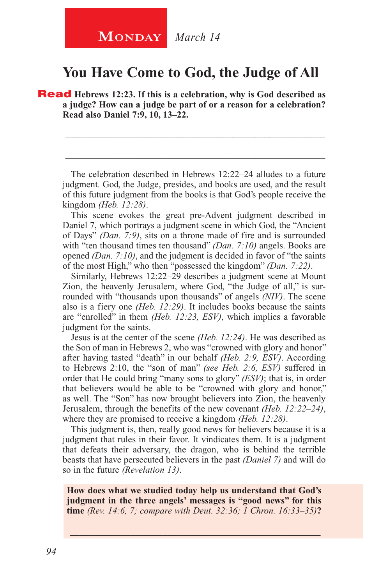## **MONDAY** *March 14*

### **You Have Come to God, the Judge of All**

**Read** Hebrews 12:23. If this is a celebration, why is God described as **a judge? How can a judge be part of or a reason for a celebration? Read also Daniel 7:9, 10, 13–22.**

The celebration described in Hebrews 12:22–24 alludes to a future judgment. God, the Judge, presides, and books are used, and the result of this future judgment from the books is that God's people receive the kingdom *(Heb. 12:28)*.

\_\_\_\_\_\_\_\_\_\_\_\_\_\_\_\_\_\_\_\_\_\_\_\_\_\_\_\_\_\_\_\_\_\_\_\_\_\_\_\_\_\_\_\_\_\_\_\_\_\_\_\_\_\_\_\_

\_\_\_\_\_\_\_\_\_\_\_\_\_\_\_\_\_\_\_\_\_\_\_\_\_\_\_\_\_\_\_\_\_\_\_\_\_\_\_\_\_\_\_\_\_\_\_\_\_\_\_\_\_\_\_\_

This scene evokes the great pre-Advent judgment described in Daniel 7, which portrays a judgment scene in which God, the "Ancient of Days" *(Dan. 7:9)*, sits on a throne made of fire and is surrounded with "ten thousand times ten thousand" *(Dan. 7:10)* angels. Books are opened *(Dan. 7:10)*, and the judgment is decided in favor of "the saints of the most High," who then "possessed the kingdom" *(Dan. 7:22)*.

Similarly, Hebrews 12:22–29 describes a judgment scene at Mount Zion, the heavenly Jerusalem, where God, "the Judge of all," is surrounded with "thousands upon thousands" of angels *(NIV)*. The scene also is a fiery one *(Heb. 12:29)*. It includes books because the saints are "enrolled" in them *(Heb. 12:23, ESV)*, which implies a favorable judgment for the saints.

Jesus is at the center of the scene *(Heb. 12:24)*. He was described as the Son of man in Hebrews 2, who was "crowned with glory and honor" after having tasted "death" in our behalf *(Heb. 2:9, ESV)*. According to Hebrews 2:10, the "son of man" *(see Heb. 2:6, ESV)* suffered in order that He could bring "many sons to glory" *(ESV)*; that is, in order that believers would be able to be "crowned with glory and honor," as well. The "Son" has now brought believers into Zion, the heavenly Jerusalem, through the benefits of the new covenant *(Heb. 12:22–24)*, where they are promised to receive a kingdom *(Heb. 12:28)*.

This judgment is, then, really good news for believers because it is a judgment that rules in their favor. It vindicates them. It is a judgment that defeats their adversary, the dragon, who is behind the terrible beasts that have persecuted believers in the past *(Daniel 7)* and will do so in the future *(Revelation 13)*.

**How does what we studied today help us understand that God's judgment in the three angels' messages is "good news" for this time** *(Rev. 14:6, 7; compare with Deut. 32:36; 1 Chron. 16:33–35)***?**

\_\_\_\_\_\_\_\_\_\_\_\_\_\_\_\_\_\_\_\_\_\_\_\_\_\_\_\_\_\_\_\_\_\_\_\_\_\_\_\_\_\_\_\_\_\_\_\_\_\_\_\_\_\_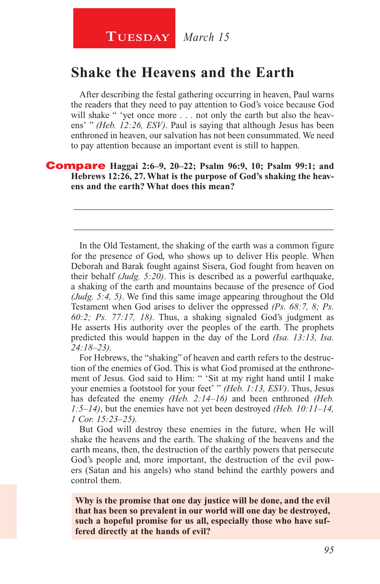#### **Shake the Heavens and the Earth**

After describing the festal gathering occurring in heaven, Paul warns the readers that they need to pay attention to God's voice because God will shake " 'yet once more . . . not only the earth but also the heavens' " *(Heb. 12:26, ESV)*. Paul is saying that although Jesus has been enthroned in heaven, our salvation has not been consummated. We need to pay attention because an important event is still to happen.

\_\_\_\_\_\_\_\_\_\_\_\_\_\_\_\_\_\_\_\_\_\_\_\_\_\_\_\_\_\_\_\_\_\_\_\_\_\_\_\_\_\_\_\_\_\_\_\_\_\_\_\_\_\_\_\_

\_\_\_\_\_\_\_\_\_\_\_\_\_\_\_\_\_\_\_\_\_\_\_\_\_\_\_\_\_\_\_\_\_\_\_\_\_\_\_\_\_\_\_\_\_\_\_\_\_\_\_\_\_\_\_\_

#### Compare **Haggai 2:6–9, 20–22; Psalm 96:9, 10; Psalm 99:1; and Hebrews 12:26, 27. What is the purpose of God's shaking the heavens and the earth? What does this mean?**

In the Old Testament, the shaking of the earth was a common figure for the presence of God, who shows up to deliver His people. When Deborah and Barak fought against Sisera, God fought from heaven on their behalf *(Judg. 5:20)*. This is described as a powerful earthquake, a shaking of the earth and mountains because of the presence of God *(Judg. 5:4, 5)*. We find this same image appearing throughout the Old Testament when God arises to deliver the oppressed *(Ps. 68:7, 8; Ps. 60:2; Ps. 77:17, 18)*. Thus, a shaking signaled God's judgment as He asserts His authority over the peoples of the earth. The prophets predicted this would happen in the day of the Lord *(Isa. 13:13, Isa. 24:18–23).*

For Hebrews, the "shaking" of heaven and earth refers to the destruction of the enemies of God. This is what God promised at the enthronement of Jesus. God said to Him: " 'Sit at my right hand until I make your enemies a footstool for your feet' " *(Heb. 1:13, ESV)*. Thus, Jesus has defeated the enemy *(Heb. 2:14–16)* and been enthroned *(Heb. 1:5–14)*, but the enemies have not yet been destroyed *(Heb. 10:11–14, 1 Cor. 15:23–25).*

But God will destroy these enemies in the future, when He will shake the heavens and the earth. The shaking of the heavens and the earth means, then, the destruction of the earthly powers that persecute God's people and, more important, the destruction of the evil powers (Satan and his angels) who stand behind the earthly powers and control them.

**Why is the promise that one day justice will be done, and the evil that has been so prevalent in our world will one day be destroyed, such a hopeful promise for us all, especially those who have suffered directly at the hands of evil?**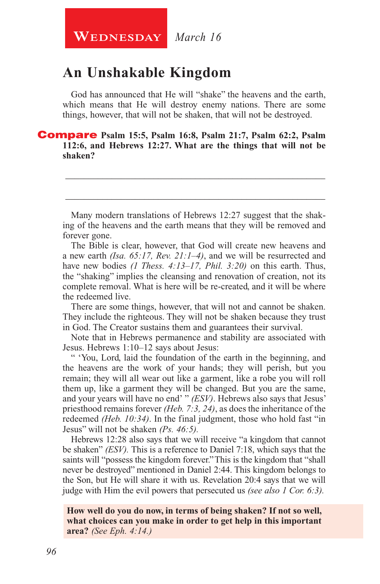#### **An Unshakable Kingdom**

God has announced that He will "shake" the heavens and the earth, which means that He will destroy enemy nations. There are some things, however, that will not be shaken, that will not be destroyed.

#### Compare **Psalm 15:5, Psalm 16:8, Psalm 21:7, Psalm 62:2, Psalm 112:6, and Hebrews 12:27. What are the things that will not be shaken?**

Many modern translations of Hebrews 12:27 suggest that the shaking of the heavens and the earth means that they will be removed and forever gone.

\_\_\_\_\_\_\_\_\_\_\_\_\_\_\_\_\_\_\_\_\_\_\_\_\_\_\_\_\_\_\_\_\_\_\_\_\_\_\_\_\_\_\_\_\_\_\_\_\_\_\_\_\_\_\_\_

\_\_\_\_\_\_\_\_\_\_\_\_\_\_\_\_\_\_\_\_\_\_\_\_\_\_\_\_\_\_\_\_\_\_\_\_\_\_\_\_\_\_\_\_\_\_\_\_\_\_\_\_\_\_\_\_

The Bible is clear, however, that God will create new heavens and a new earth *(Isa. 65:17, Rev. 21:1–4)*, and we will be resurrected and have new bodies *(1 Thess. 4:13–17, Phil. 3:20)* on this earth. Thus, the "shaking" implies the cleansing and renovation of creation, not its complete removal. What is here will be re-created, and it will be where the redeemed live.

There are some things, however, that will not and cannot be shaken. They include the righteous. They will not be shaken because they trust in God. The Creator sustains them and guarantees their survival.

Note that in Hebrews permanence and stability are associated with Jesus. Hebrews 1:10–12 says about Jesus:

" 'You, Lord, laid the foundation of the earth in the beginning, and the heavens are the work of your hands; they will perish, but you remain; they will all wear out like a garment, like a robe you will roll them up, like a garment they will be changed. But you are the same, and your years will have no end' " *(ESV)*. Hebrews also says that Jesus' priesthood remains forever *(Heb. 7:3, 24)*, as does the inheritance of the redeemed *(Heb. 10:34)*. In the final judgment, those who hold fast "in Jesus" will not be shaken *(Ps. 46:5).*

Hebrews 12:28 also says that we will receive "a kingdom that cannot be shaken" *(ESV).* This is a reference to Daniel 7:18, which says that the saints will "possess the kingdom forever." This is the kingdom that "shall never be destroyed" mentioned in Daniel 2:44. This kingdom belongs to the Son, but He will share it with us. Revelation 20:4 says that we will judge with Him the evil powers that persecuted us *(see also 1 Cor. 6:3).*

**How well do you do now, in terms of being shaken? If not so well, what choices can you make in order to get help in this important area?** *(See Eph. 4:14.)*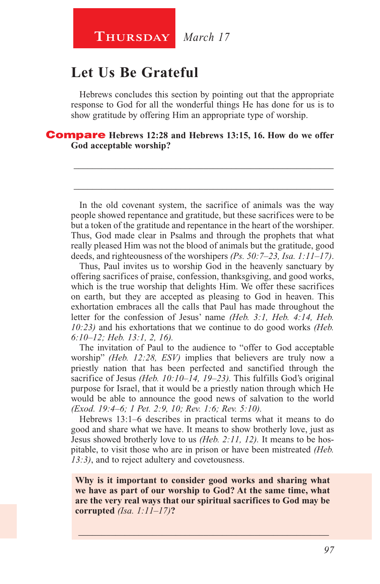**Thursday** *March 17*

### **Let Us Be Grateful**

Hebrews concludes this section by pointing out that the appropriate response to God for all the wonderful things He has done for us is to show gratitude by offering Him an appropriate type of worship.

\_\_\_\_\_\_\_\_\_\_\_\_\_\_\_\_\_\_\_\_\_\_\_\_\_\_\_\_\_\_\_\_\_\_\_\_\_\_\_\_\_\_\_\_\_\_\_\_\_\_\_\_\_\_\_\_

\_\_\_\_\_\_\_\_\_\_\_\_\_\_\_\_\_\_\_\_\_\_\_\_\_\_\_\_\_\_\_\_\_\_\_\_\_\_\_\_\_\_\_\_\_\_\_\_\_\_\_\_\_\_\_\_

Compare **Hebrews 12:28 and Hebrews 13:15, 16. How do we offer God acceptable worship?**

In the old covenant system, the sacrifice of animals was the way people showed repentance and gratitude, but these sacrifices were to be but a token of the gratitude and repentance in the heart of the worshiper. Thus, God made clear in Psalms and through the prophets that what really pleased Him was not the blood of animals but the gratitude, good deeds, and righteousness of the worshipers *(Ps. 50:7–23, Isa. 1:11–17)*.

Thus, Paul invites us to worship God in the heavenly sanctuary by offering sacrifices of praise, confession, thanksgiving, and good works, which is the true worship that delights Him. We offer these sacrifices on earth, but they are accepted as pleasing to God in heaven. This exhortation embraces all the calls that Paul has made throughout the letter for the confession of Jesus' name *(Heb. 3:1, Heb. 4:14, Heb. 10:23)* and his exhortations that we continue to do good works *(Heb. 6:10–12; Heb. 13:1, 2, 16).*

The invitation of Paul to the audience to "offer to God acceptable worship" *(Heb. 12:28, ESV)* implies that believers are truly now a priestly nation that has been perfected and sanctified through the sacrifice of Jesus *(Heb. 10:10–14, 19–23).* This fulfills God's original purpose for Israel, that it would be a priestly nation through which He would be able to announce the good news of salvation to the world *(Exod. 19:4–6; 1 Pet. 2:9, 10; Rev. 1:6; Rev. 5:10).*

Hebrews 13:1–6 describes in practical terms what it means to do good and share what we have. It means to show brotherly love, just as Jesus showed brotherly love to us *(Heb. 2:11, 12).* It means to be hospitable, to visit those who are in prison or have been mistreated *(Heb. 13:3)*, and to reject adultery and covetousness.

**Why is it important to consider good works and sharing what we have as part of our worship to God? At the same time, what are the very real ways that our spiritual sacrifices to God may be corrupted** *(Isa. 1:11–17)***?**

\_\_\_\_\_\_\_\_\_\_\_\_\_\_\_\_\_\_\_\_\_\_\_\_\_\_\_\_\_\_\_\_\_\_\_\_\_\_\_\_\_\_\_\_\_\_\_\_\_\_\_\_\_\_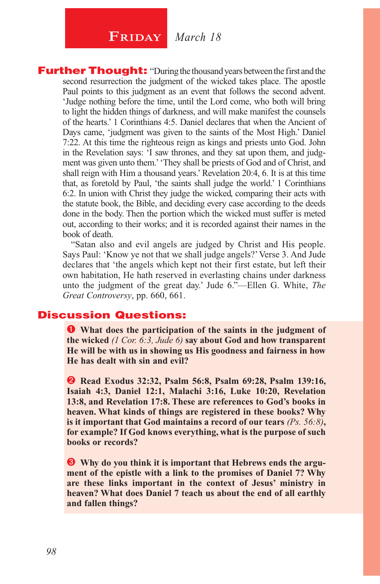## $\begin{array}{|c|c|c|}\n \hline\n \textbf{FRIDAY} & \textit{March 18}\n \end{array}$

**Further Thought:** "During the thousand years between the first and the second resurrection the judgment of the wicked takes place. The apostle Paul points to this judgment as an event that follows the second advent. 'Judge nothing before the time, until the Lord come, who both will bring to light the hidden things of darkness, and will make manifest the counsels of the hearts.' 1 Corinthians 4:5. Daniel declares that when the Ancient of Days came, 'judgment was given to the saints of the Most High.' Daniel 7:22. At this time the righteous reign as kings and priests unto God. John in the Revelation says: 'I saw thrones, and they sat upon them, and judgment was given unto them.' 'They shall be priests of God and of Christ, and shall reign with Him a thousand years.' Revelation 20:4, 6. It is at this time that, as foretold by Paul, 'the saints shall judge the world.' 1 Corinthians 6:2. In union with Christ they judge the wicked, comparing their acts with the statute book, the Bible, and deciding every case according to the deeds done in the body. Then the portion which the wicked must suffer is meted out, according to their works; and it is recorded against their names in the book of death.

"Satan also and evil angels are judged by Christ and His people. Says Paul: 'Know ye not that we shall judge angels?' Verse 3. And Jude declares that 'the angels which kept not their first estate, but left their own habitation, He hath reserved in everlasting chains under darkness unto the judgment of the great day.' Jude 6."—Ellen G. White, *The Great Controversy*, pp. 660, 661.

#### Discussion Questions:

 **What does the participation of the saints in the judgment of the wicked** *(1 Cor. 6:3, Jude 6)* **say about God and how transparent He will be with us in showing us His goodness and fairness in how He has dealt with sin and evil?**

 **Read Exodus 32:32, Psalm 56:8, Psalm 69:28, Psalm 139:16, Isaiah 4:3, Daniel 12:1, Malachi 3:16, Luke 10:20, Revelation 13:8, and Revelation 17:8. These are references to God's books in heaven. What kinds of things are registered in these books? Why is it important that God maintains a record of our tears** *(Ps. 56:8)***, for example? If God knows everything, what is the purpose of such books or records?**

 **Why do you think it is important that Hebrews ends the argument of the epistle with a link to the promises of Daniel 7? Why are these links important in the context of Jesus' ministry in heaven? What does Daniel 7 teach us about the end of all earthly and fallen things?**